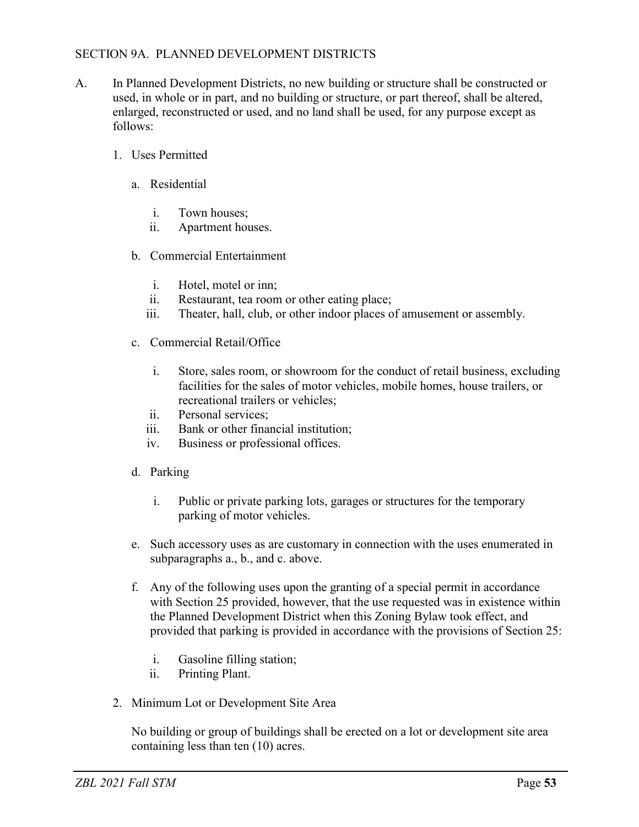## SECTION 9A. PLANNED DEVELOPMENT DISTRICTS

- A. In Planned Development Districts, no new building or structure shall be constructed or used, in whole or in part, and no building or structure, or part thereof, shall be altered, enlarged, reconstructed or used, and no land shall be used, for any purpose except as follows:
	- 1. Uses Permitted
		- a. Residential
			- i. Town houses;
			- ii. Apartment houses.
		- b. Commercial Entertainment
			- i. Hotel, motel or inn;
			- ii. Restaurant, tea room or other eating place;
			- iii. Theater, hall, club, or other indoor places of amusement or assembly.
		- c. Commercial Retail/Office
			- i. Store, sales room, or showroom for the conduct of retail business, excluding facilities for the sales of motor vehicles, mobile homes, house trailers, or recreational trailers or vehicles;
			- ii. Personal services;
			- iii. Bank or other financial institution;
			- iv. Business or professional offices.
		- d. Parking
			- i. Public or private parking lots, garages or structures for the temporary parking of motor vehicles.
		- e. Such accessory uses as are customary in connection with the uses enumerated in subparagraphs a., b., and c. above.
		- f. Any of the following uses upon the granting of a special permit in accordance with Section 25 provided, however, that the use requested was in existence within the Planned Development District when this Zoning Bylaw took effect, and provided that parking is provided in accordance with the provisions of Section 25:
			- i. Gasoline filling station;
			- ii. Printing Plant.
	- 2. Minimum Lot or Development Site Area

No building or group of buildings shall be erected on a lot or development site area containing less than ten (10) acres.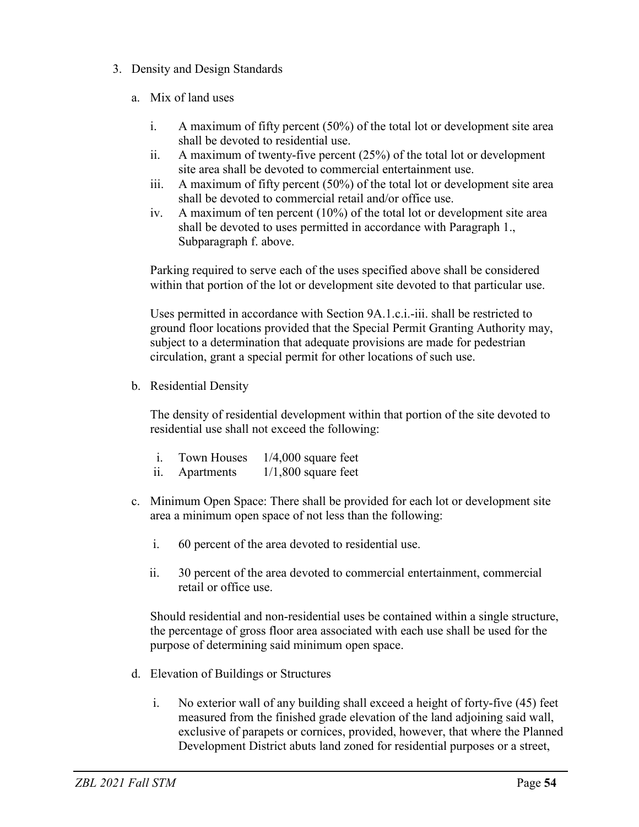- 3. Density and Design Standards
	- a. Mix of land uses
		- i. A maximum of fifty percent (50%) of the total lot or development site area shall be devoted to residential use.
		- ii. A maximum of twenty-five percent (25%) of the total lot or development site area shall be devoted to commercial entertainment use.
		- iii. A maximum of fifty percent (50%) of the total lot or development site area shall be devoted to commercial retail and/or office use.
		- iv. A maximum of ten percent  $(10\%)$  of the total lot or development site area shall be devoted to uses permitted in accordance with Paragraph 1., Subparagraph f. above.

Parking required to serve each of the uses specified above shall be considered within that portion of the lot or development site devoted to that particular use.

Uses permitted in accordance with Section 9A.1.c.i.-iii. shall be restricted to ground floor locations provided that the Special Permit Granting Authority may, subject to a determination that adequate provisions are made for pedestrian circulation, grant a special permit for other locations of such use.

b. Residential Density

The density of residential development within that portion of the site devoted to residential use shall not exceed the following:

|                   | Town Houses | $1/4,000$ square feet |
|-------------------|-------------|-----------------------|
| $\overline{11}$ . | Apartments  | $1/1,800$ square feet |

- c. Minimum Open Space: There shall be provided for each lot or development site area a minimum open space of not less than the following:
	- i. 60 percent of the area devoted to residential use.
	- ii. 30 percent of the area devoted to commercial entertainment, commercial retail or office use.

Should residential and non-residential uses be contained within a single structure, the percentage of gross floor area associated with each use shall be used for the purpose of determining said minimum open space.

- d. Elevation of Buildings or Structures
	- i. No exterior wall of any building shall exceed a height of forty-five (45) feet measured from the finished grade elevation of the land adjoining said wall, exclusive of parapets or cornices, provided, however, that where the Planned Development District abuts land zoned for residential purposes or a street,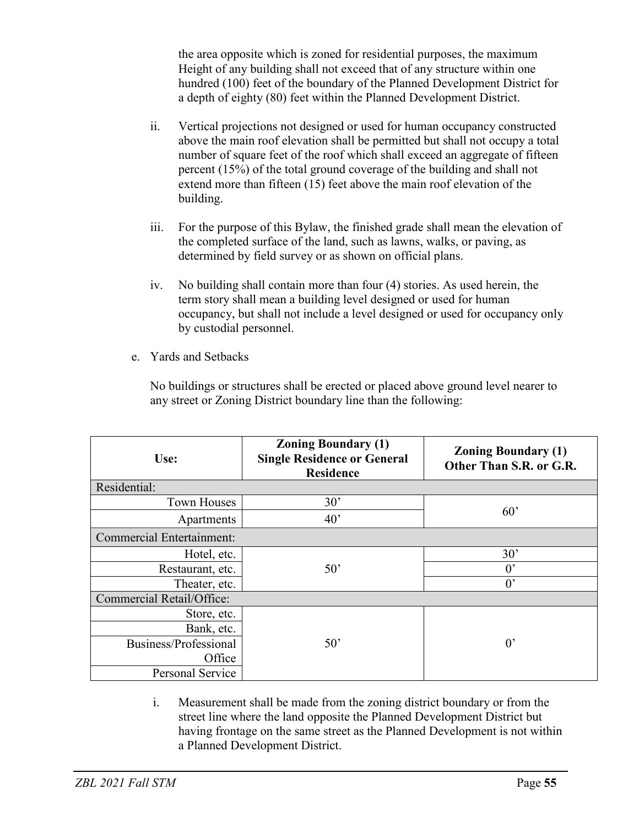the area opposite which is zoned for residential purposes, the maximum Height of any building shall not exceed that of any structure within one hundred (100) feet of the boundary of the Planned Development District for a depth of eighty (80) feet within the Planned Development District.

- ii. Vertical projections not designed or used for human occupancy constructed above the main roof elevation shall be permitted but shall not occupy a total number of square feet of the roof which shall exceed an aggregate of fifteen percent (15%) of the total ground coverage of the building and shall not extend more than fifteen (15) feet above the main roof elevation of the building.
- iii. For the purpose of this Bylaw, the finished grade shall mean the elevation of the completed surface of the land, such as lawns, walks, or paving, as determined by field survey or as shown on official plans.
- iv. No building shall contain more than four (4) stories. As used herein, the term story shall mean a building level designed or used for human occupancy, but shall not include a level designed or used for occupancy only by custodial personnel.
- e. Yards and Setbacks

No buildings or structures shall be erected or placed above ground level nearer to any street or Zoning District boundary line than the following:

| Use:                             | <b>Zoning Boundary (1)</b><br><b>Single Residence or General</b><br><b>Residence</b> | <b>Zoning Boundary (1)</b><br>Other Than S.R. or G.R. |  |  |
|----------------------------------|--------------------------------------------------------------------------------------|-------------------------------------------------------|--|--|
| Residential:                     |                                                                                      |                                                       |  |  |
| <b>Town Houses</b>               | 30'                                                                                  |                                                       |  |  |
| Apartments                       | 40'                                                                                  | 60'                                                   |  |  |
| <b>Commercial Entertainment:</b> |                                                                                      |                                                       |  |  |
| Hotel, etc.                      |                                                                                      | 30'                                                   |  |  |
| Restaurant, etc.                 | 50'                                                                                  | $0^{\circ}$                                           |  |  |
| Theater, etc.                    |                                                                                      | $0^{\prime}$                                          |  |  |
| <b>Commercial Retail/Office:</b> |                                                                                      |                                                       |  |  |
| Store, etc.                      |                                                                                      |                                                       |  |  |
| Bank, etc.                       |                                                                                      |                                                       |  |  |
| Business/Professional            | 50'                                                                                  | $0^{\circ}$                                           |  |  |
| Office                           |                                                                                      |                                                       |  |  |
| Personal Service                 |                                                                                      |                                                       |  |  |

i. Measurement shall be made from the zoning district boundary or from the street line where the land opposite the Planned Development District but having frontage on the same street as the Planned Development is not within a Planned Development District.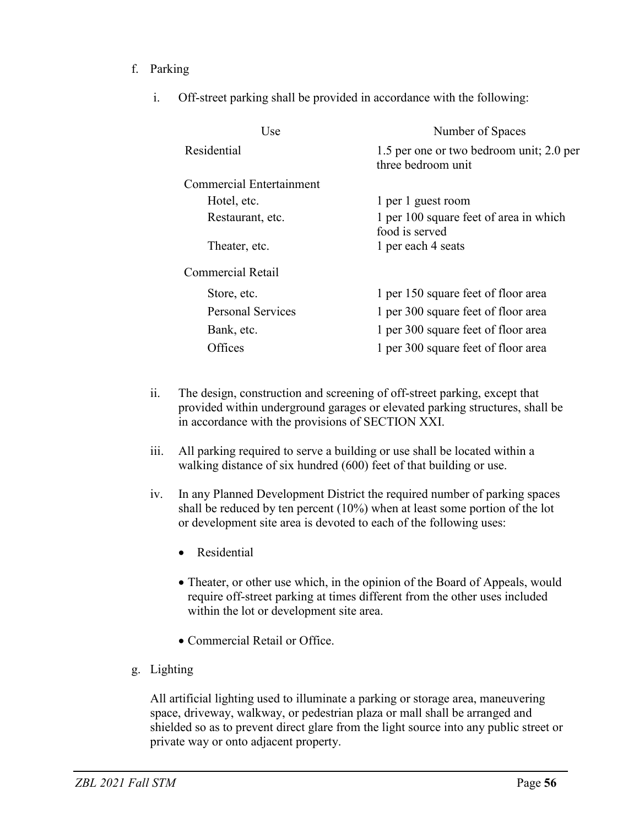## f. Parking

i. Off-street parking shall be provided in accordance with the following:

| Use.                     | Number of Spaces                                               |  |
|--------------------------|----------------------------------------------------------------|--|
| Residential              | 1.5 per one or two bedroom unit; 2.0 per<br>three bedroom unit |  |
| Commercial Entertainment |                                                                |  |
| Hotel, etc.              | 1 per 1 guest room                                             |  |
| Restaurant, etc.         | 1 per 100 square feet of area in which<br>food is served       |  |
| Theater, etc.            | 1 per each 4 seats                                             |  |
| <b>Commercial Retail</b> |                                                                |  |
| Store, etc.              | 1 per 150 square feet of floor area                            |  |
| Personal Services        | 1 per 300 square feet of floor area                            |  |
| Bank, etc.               | 1 per 300 square feet of floor area                            |  |
| Offices                  | 1 per 300 square feet of floor area                            |  |

- ii. The design, construction and screening of off-street parking, except that provided within underground garages or elevated parking structures, shall be in accordance with the provisions of SECTION XXI.
- iii. All parking required to serve a building or use shall be located within a walking distance of six hundred (600) feet of that building or use.
- iv. In any Planned Development District the required number of parking spaces shall be reduced by ten percent (10%) when at least some portion of the lot or development site area is devoted to each of the following uses:
	- Residential
	- Theater, or other use which, in the opinion of the Board of Appeals, would require off-street parking at times different from the other uses included within the lot or development site area.
	- Commercial Retail or Office.
- g. Lighting

All artificial lighting used to illuminate a parking or storage area, maneuvering space, driveway, walkway, or pedestrian plaza or mall shall be arranged and shielded so as to prevent direct glare from the light source into any public street or private way or onto adjacent property.